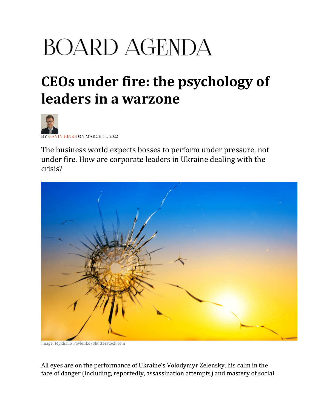## **BOARD AGENDA**

## CEOs under fire: the psychology of leaders in a warzone



**VIN HINKS ON MARCH 11, 2022** 

The business world expects bosses to perform under pressure, not under fire. How are corporate leaders in Ukraine dealing with the crisis?



Image: Mykhailo Pavlenko/Shutterstock.com

All eyes are on the performance of Ukraine's Volodymyr Zelensky, his calm in the face of danger (including, reportedly, assassination attempts) and mastery of social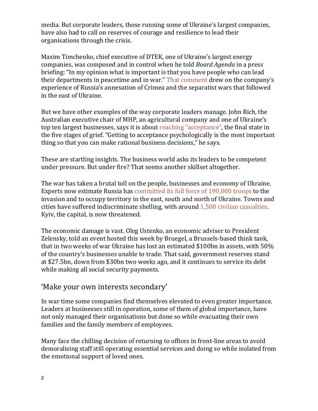media. But corporate leaders, those running some of Ukraine's largest companies, have also had to call on reserves of courage and resilience to lead their organisations through the crisis.

Maxim Timchenko, chief executive of DTEK, one of Ukraine's largest energy companies, was composed and in control when he told Board Agenda in a press briefing: "In my opinion what is important is that you have people who can lead their departments in peacetime and in war." That comment drew on the company's experience of Russia's annexation of Crimea and the separatist wars that followed in the east of Ukraine.

But we have other examples of the way corporate leaders manage. John Rich, the Australian executive chair of MHP, an agricultural company and one of Ukraine's top ten largest businesses, says it is about reaching "acceptance", the final state in the five stages of grief. "Getting to acceptance psychologically is the most important thing so that you can make rational business decisions," he says.

These are startling insights. The business world asks its leaders to be competent under pressure. But under fire? That seems another skillset altogether.

The war has taken a brutal toll on the people, businesses and economy of Ukraine. Experts now estimate Russia has committed its full force of 190,000 troops to the invasion and to occupy territory in the east, south and north of Ukraine. Towns and cities have suffered indiscriminate shelling, with around 1,500 civilian casualties. Kyiv, the capital, is now threatened.

The economic damage is vast. Oleg Ustenko, an economic adviser to President Zelensky, told an event hosted this week by Bruegel, a Brussels-based think tank, that in two weeks of war Ukraine has lost an estimated \$100bn in assets, with 50% of the country's businesses unable to trade. That said, government reserves stand at \$27.5bn, down from \$30bn two weeks ago, and it continues to service its debt while making all social security payments.

## 'Make your own interests secondary'

In war time some companies find themselves elevated to even greater importance. Leaders at businesses still in operation, some of them of global importance, have not only managed their organisations but done so while evacuating their own families and the family members of employees.

Many face the chilling decision of returning to offices in front-line areas to avoid demoralising staff still operating essential services and doing so while isolated from the emotional support of loved ones.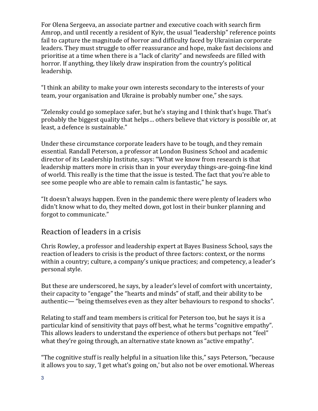For Olena Sergeeva, an associate partner and executive coach with search firm Amrop, and until recently a resident of Kyiv, the usual "leadership" reference points fail to capture the magnitude of horror and difficulty faced by Ukrainian corporate leaders. They must struggle to offer reassurance and hope, make fast decisions and prioritise at a time when there is a "lack of clarity" and newsfeeds are filled with horror. If anything, they likely draw inspiration from the country's political leadership.

"I think an ability to make your own interests secondary to the interests of your team, your organisation and Ukraine is probably number one," she says.

"Zelensky could go someplace safer, but he's staying and I think that's huge. That's probably the biggest quality that helps… others believe that victory is possible or, at least, a defence is sustainable."

Under these circumstance corporate leaders have to be tough, and they remain essential. Randall Peterson, a professor at London Business School and academic director of its Leadership Institute, says: "What we know from research is that leadership matters more in crisis than in your everyday things-are-going-fine kind of world. This really is the time that the issue is tested. The fact that you're able to see some people who are able to remain calm is fantastic," he says.

"It doesn't always happen. Even in the pandemic there were plenty of leaders who didn't know what to do, they melted down, got lost in their bunker planning and forgot to communicate."

## Reaction of leaders in a crisis

Chris Rowley, a professor and leadership expert at Bayes Business School, says the reaction of leaders to crisis is the product of three factors: context, or the norms within a country; culture, a company's unique practices; and competency, a leader's personal style.

But these are underscored, he says, by a leader's level of comfort with uncertainty, their capacity to "engage" the "hearts and minds" of staff, and their ability to be authentic— "being themselves even as they alter behaviours to respond to shocks".

Relating to staff and team members is critical for Peterson too, but he says it is a particular kind of sensitivity that pays off best, what he terms "cognitive empathy". This allows leaders to understand the experience of others but perhaps not "feel" what they're going through, an alternative state known as "active empathy".

"The cognitive stuff is really helpful in a situation like this," says Peterson, "because it allows you to say, 'I get what's going on,' but also not be over emotional. Whereas